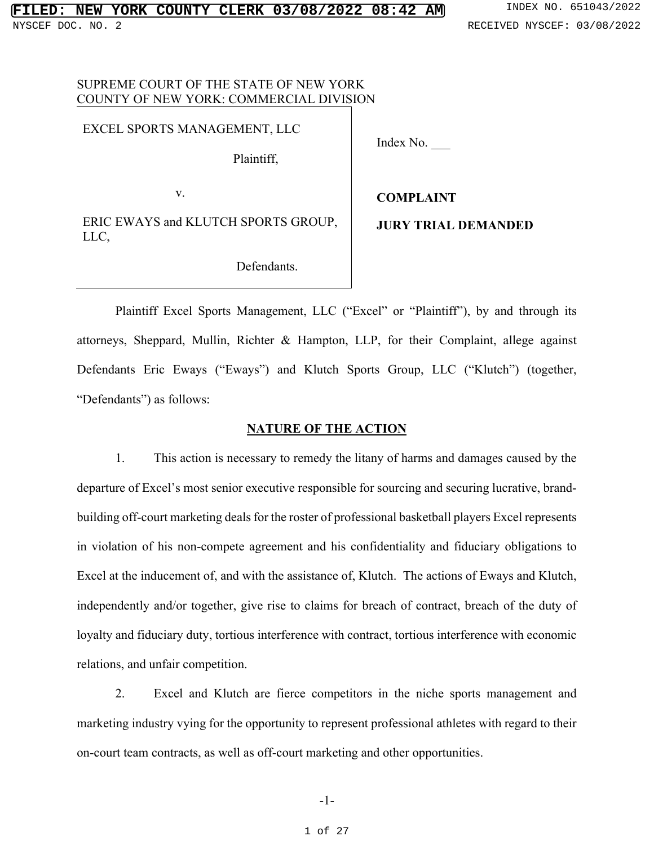## SUPREME COURT OF THE STATE OF NEW YORK COUNTY OF NEW YORK: COMMERCIAL DIVISION

### EXCEL SPORTS MANAGEMENT, LLC

Plaintiff,

Index No. \_\_\_

v.

**COMPLAINT** 

ERIC EWAYS and KLUTCH SPORTS GROUP, LLC,

**JURY TRIAL DEMANDED** 

Defendants.

Plaintiff Excel Sports Management, LLC ("Excel" or "Plaintiff"), by and through its attorneys, Sheppard, Mullin, Richter & Hampton, LLP, for their Complaint, allege against Defendants Eric Eways ("Eways") and Klutch Sports Group, LLC ("Klutch") (together, "Defendants") as follows:

### **NATURE OF THE ACTION**

1. This action is necessary to remedy the litany of harms and damages caused by the departure of Excel's most senior executive responsible for sourcing and securing lucrative, brandbuilding off-court marketing deals for the roster of professional basketball players Excel represents in violation of his non-compete agreement and his confidentiality and fiduciary obligations to Excel at the inducement of, and with the assistance of, Klutch. The actions of Eways and Klutch, independently and/or together, give rise to claims for breach of contract, breach of the duty of loyalty and fiduciary duty, tortious interference with contract, tortious interference with economic relations, and unfair competition.

2. Excel and Klutch are fierce competitors in the niche sports management and marketing industry vying for the opportunity to represent professional athletes with regard to their on-court team contracts, as well as off-court marketing and other opportunities.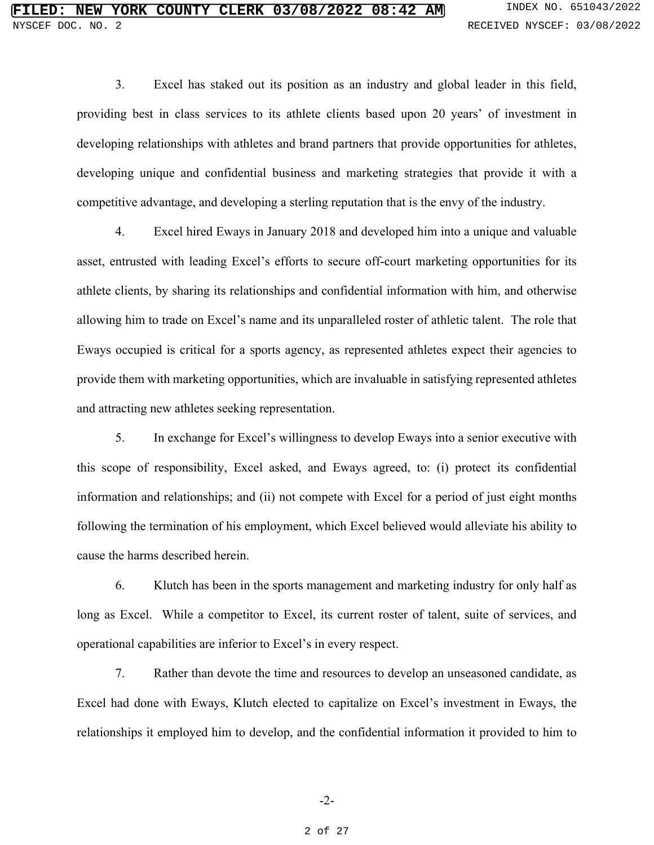3. Excel has staked out its position as an industry and global leader in this field, providing best in class services to its athlete clients based upon 20 years' of investment in developing relationships with athletes and brand partners that provide opportunities for athletes, developing unique and confidential business and marketing strategies that provide it with a competitive advantage, and developing a sterling reputation that is the envy of the industry.

4. Excel hired Eways in January 2018 and developed him into a unique and valuable asset, entrusted with leading Excel's efforts to secure off-court marketing opportunities for its athlete clients, by sharing its relationships and confidential information with him, and otherwise allowing him to trade on Excel's name and its unparalleled roster of athletic talent. The role that Eways occupied is critical for a sports agency, as represented athletes expect their agencies to provide them with marketing opportunities, which are invaluable in satisfying represented athletes and attracting new athletes seeking representation.

5. In exchange for Excel's willingness to develop Eways into a senior executive with this scope of responsibility, Excel asked, and Eways agreed, to: (i) protect its confidential information and relationships; and (ii) not compete with Excel for a period of just eight months following the termination of his employment, which Excel believed would alleviate his ability to cause the harms described herein.

6. Klutch has been in the sports management and marketing industry for only half as long as Excel. While a competitor to Excel, its current roster of talent, suite of services, and operational capabilities are inferior to Excel's in every respect.

7. Rather than devote the time and resources to develop an unseasoned candidate, as Excel had done with Eways, Klutch elected to capitalize on Excel's investment in Eways, the relationships it employed him to develop, and the confidential information it provided to him to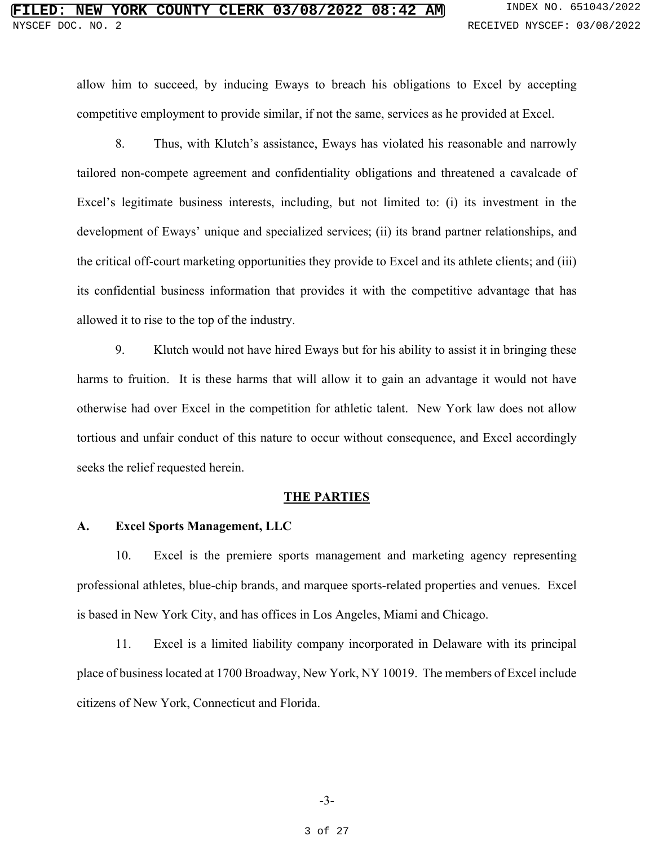# **FIRE COUNTY CLERK 03/08/2022 08:42 AM** INDEX NO. 651043/2022 NYSCEF DOC. NO. 2 RECEIVED NYSCEF: 03/08/2022

allow him to succeed, by inducing Eways to breach his obligations to Excel by accepting competitive employment to provide similar, if not the same, services as he provided at Excel.

8. Thus, with Klutch's assistance, Eways has violated his reasonable and narrowly tailored non-compete agreement and confidentiality obligations and threatened a cavalcade of Excel's legitimate business interests, including, but not limited to: (i) its investment in the development of Eways' unique and specialized services; (ii) its brand partner relationships, and the critical off-court marketing opportunities they provide to Excel and its athlete clients; and (iii) its confidential business information that provides it with the competitive advantage that has allowed it to rise to the top of the industry.

9. Klutch would not have hired Eways but for his ability to assist it in bringing these harms to fruition. It is these harms that will allow it to gain an advantage it would not have otherwise had over Excel in the competition for athletic talent. New York law does not allow tortious and unfair conduct of this nature to occur without consequence, and Excel accordingly seeks the relief requested herein.

### **THE PARTIES**

### **A. Excel Sports Management, LLC**

10. Excel is the premiere sports management and marketing agency representing professional athletes, blue-chip brands, and marquee sports-related properties and venues. Excel is based in New York City, and has offices in Los Angeles, Miami and Chicago.

11. Excel is a limited liability company incorporated in Delaware with its principal place of business located at 1700 Broadway, New York, NY 10019. The members of Excel include citizens of New York, Connecticut and Florida.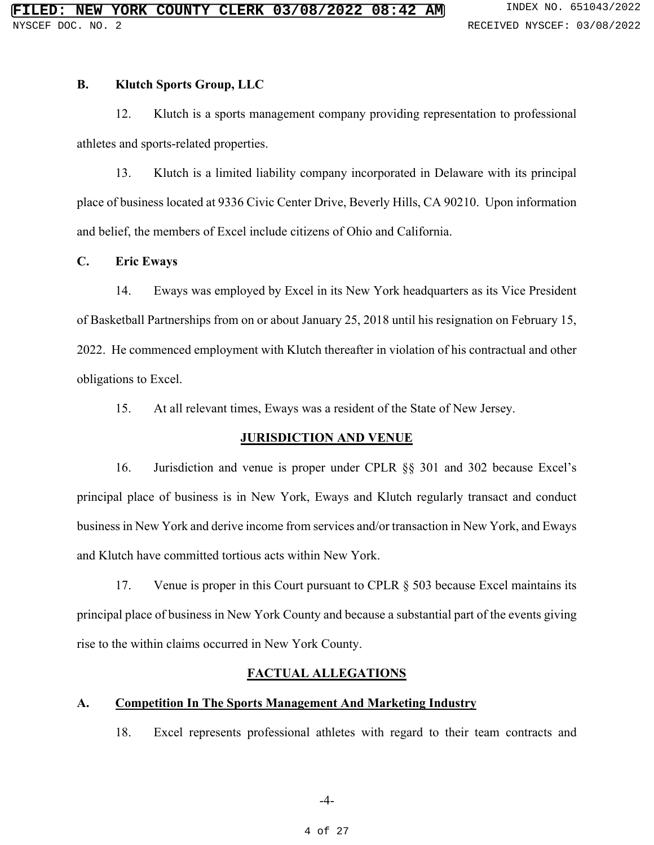### **B. Klutch Sports Group, LLC**

12. Klutch is a sports management company providing representation to professional athletes and sports-related properties.

13. Klutch is a limited liability company incorporated in Delaware with its principal place of business located at 9336 Civic Center Drive, Beverly Hills, CA 90210. Upon information and belief, the members of Excel include citizens of Ohio and California.

## **C. Eric Eways**

14. Eways was employed by Excel in its New York headquarters as its Vice President of Basketball Partnerships from on or about January 25, 2018 until his resignation on February 15, 2022. He commenced employment with Klutch thereafter in violation of his contractual and other obligations to Excel.

15. At all relevant times, Eways was a resident of the State of New Jersey.

## **JURISDICTION AND VENUE**

16. Jurisdiction and venue is proper under CPLR §§ 301 and 302 because Excel's principal place of business is in New York, Eways and Klutch regularly transact and conduct business in New York and derive income from services and/or transaction in New York, and Eways and Klutch have committed tortious acts within New York.

17. Venue is proper in this Court pursuant to CPLR § 503 because Excel maintains its principal place of business in New York County and because a substantial part of the events giving rise to the within claims occurred in New York County.

## **FACTUAL ALLEGATIONS**

## **A. Competition In The Sports Management And Marketing Industry**

18. Excel represents professional athletes with regard to their team contracts and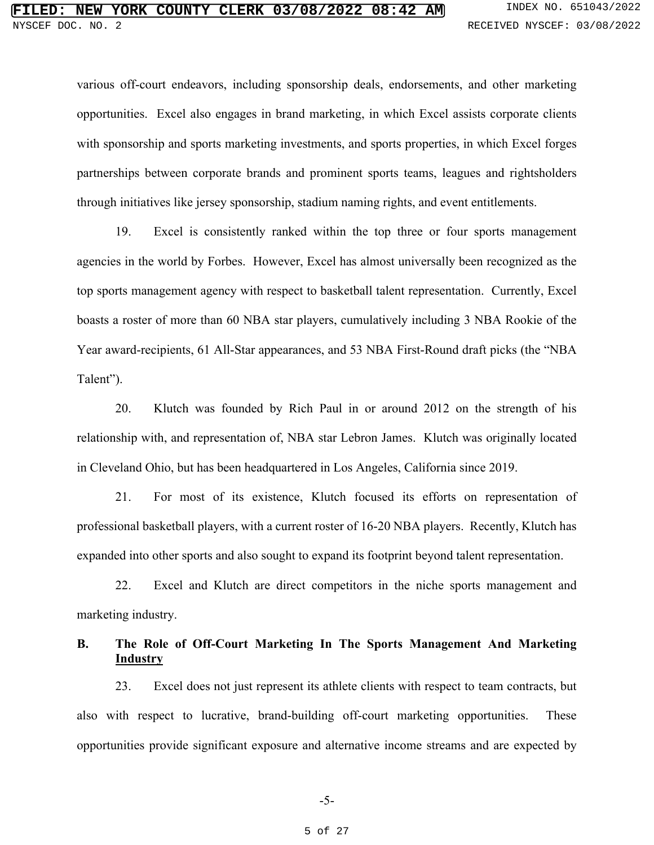various off-court endeavors, including sponsorship deals, endorsements, and other marketing opportunities. Excel also engages in brand marketing, in which Excel assists corporate clients with sponsorship and sports marketing investments, and sports properties, in which Excel forges partnerships between corporate brands and prominent sports teams, leagues and rightsholders through initiatives like jersey sponsorship, stadium naming rights, and event entitlements.

19. Excel is consistently ranked within the top three or four sports management agencies in the world by Forbes. However, Excel has almost universally been recognized as the top sports management agency with respect to basketball talent representation. Currently, Excel boasts a roster of more than 60 NBA star players, cumulatively including 3 NBA Rookie of the Year award-recipients, 61 All-Star appearances, and 53 NBA First-Round draft picks (the "NBA Talent").

20. Klutch was founded by Rich Paul in or around 2012 on the strength of his relationship with, and representation of, NBA star Lebron James. Klutch was originally located in Cleveland Ohio, but has been headquartered in Los Angeles, California since 2019.

21. For most of its existence, Klutch focused its efforts on representation of professional basketball players, with a current roster of 16-20 NBA players. Recently, Klutch has expanded into other sports and also sought to expand its footprint beyond talent representation.

22. Excel and Klutch are direct competitors in the niche sports management and marketing industry.

# **B. The Role of Off-Court Marketing In The Sports Management And Marketing Industry**

23. Excel does not just represent its athlete clients with respect to team contracts, but also with respect to lucrative, brand-building off-court marketing opportunities. These opportunities provide significant exposure and alternative income streams and are expected by

#### 5 of 27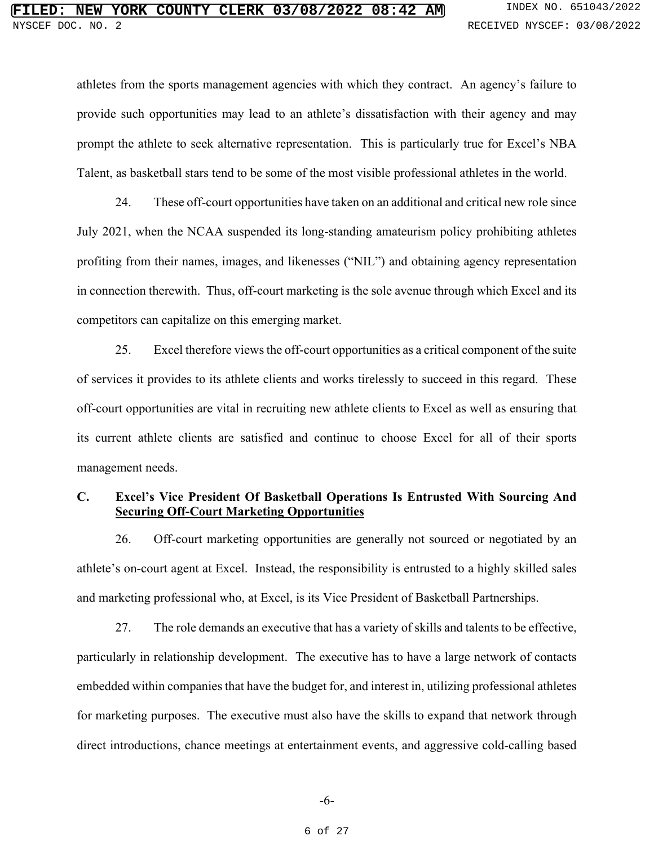athletes from the sports management agencies with which they contract. An agency's failure to provide such opportunities may lead to an athlete's dissatisfaction with their agency and may prompt the athlete to seek alternative representation. This is particularly true for Excel's NBA Talent, as basketball stars tend to be some of the most visible professional athletes in the world.

24. These off-court opportunities have taken on an additional and critical new role since July 2021, when the NCAA suspended its long-standing amateurism policy prohibiting athletes profiting from their names, images, and likenesses ("NIL") and obtaining agency representation in connection therewith. Thus, off-court marketing is the sole avenue through which Excel and its competitors can capitalize on this emerging market.

25. Excel therefore views the off-court opportunities as a critical component of the suite of services it provides to its athlete clients and works tirelessly to succeed in this regard. These off-court opportunities are vital in recruiting new athlete clients to Excel as well as ensuring that its current athlete clients are satisfied and continue to choose Excel for all of their sports management needs.

## **C. Excel's Vice President Of Basketball Operations Is Entrusted With Sourcing And Securing Off-Court Marketing Opportunities**

26. Off-court marketing opportunities are generally not sourced or negotiated by an athlete's on-court agent at Excel. Instead, the responsibility is entrusted to a highly skilled sales and marketing professional who, at Excel, is its Vice President of Basketball Partnerships.

27. The role demands an executive that has a variety of skills and talents to be effective, particularly in relationship development. The executive has to have a large network of contacts embedded within companies that have the budget for, and interest in, utilizing professional athletes for marketing purposes. The executive must also have the skills to expand that network through direct introductions, chance meetings at entertainment events, and aggressive cold-calling based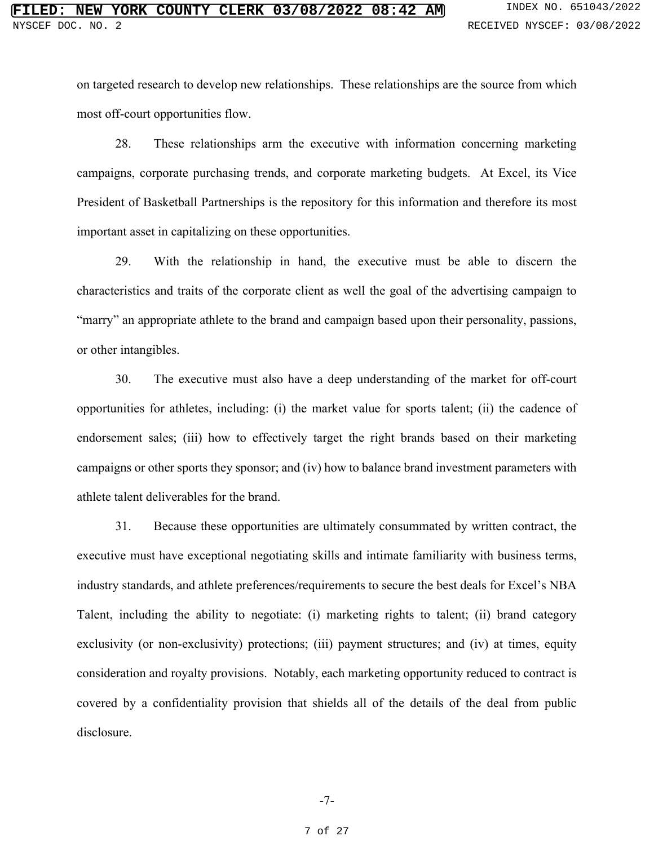on targeted research to develop new relationships. These relationships are the source from which most off-court opportunities flow.

28. These relationships arm the executive with information concerning marketing campaigns, corporate purchasing trends, and corporate marketing budgets. At Excel, its Vice President of Basketball Partnerships is the repository for this information and therefore its most important asset in capitalizing on these opportunities.

29. With the relationship in hand, the executive must be able to discern the characteristics and traits of the corporate client as well the goal of the advertising campaign to "marry" an appropriate athlete to the brand and campaign based upon their personality, passions, or other intangibles.

30. The executive must also have a deep understanding of the market for off-court opportunities for athletes, including: (i) the market value for sports talent; (ii) the cadence of endorsement sales; (iii) how to effectively target the right brands based on their marketing campaigns or other sports they sponsor; and (iv) how to balance brand investment parameters with athlete talent deliverables for the brand.

31. Because these opportunities are ultimately consummated by written contract, the executive must have exceptional negotiating skills and intimate familiarity with business terms, industry standards, and athlete preferences/requirements to secure the best deals for Excel's NBA Talent, including the ability to negotiate: (i) marketing rights to talent; (ii) brand category exclusivity (or non-exclusivity) protections; (iii) payment structures; and (iv) at times, equity consideration and royalty provisions. Notably, each marketing opportunity reduced to contract is covered by a confidentiality provision that shields all of the details of the deal from public disclosure.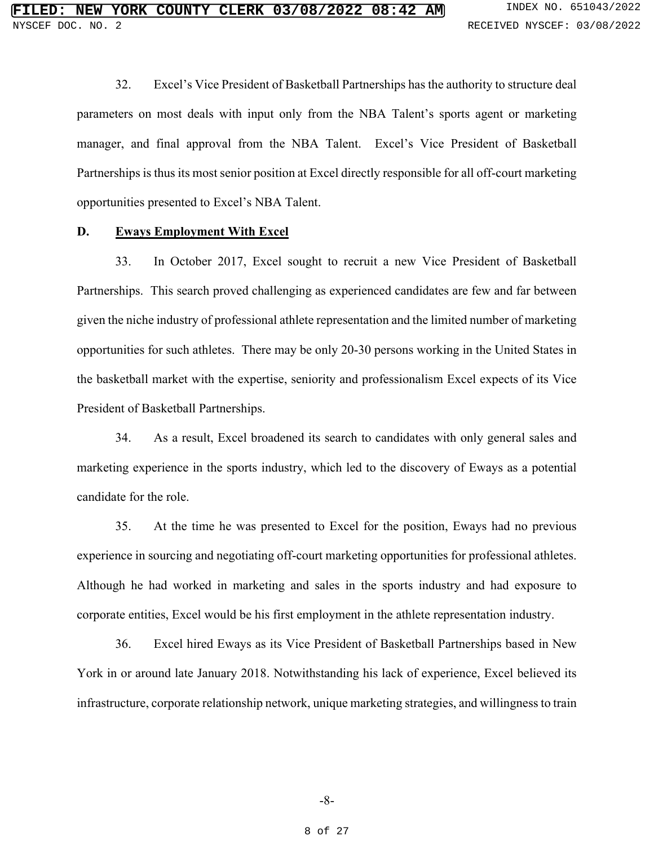32. Excel's Vice President of Basketball Partnerships has the authority to structure deal parameters on most deals with input only from the NBA Talent's sports agent or marketing manager, and final approval from the NBA Talent. Excel's Vice President of Basketball Partnerships is thus its most senior position at Excel directly responsible for all off-court marketing opportunities presented to Excel's NBA Talent.

### **D. Eways Employment With Excel**

33. In October 2017, Excel sought to recruit a new Vice President of Basketball Partnerships. This search proved challenging as experienced candidates are few and far between given the niche industry of professional athlete representation and the limited number of marketing opportunities for such athletes. There may be only 20-30 persons working in the United States in the basketball market with the expertise, seniority and professionalism Excel expects of its Vice President of Basketball Partnerships.

34. As a result, Excel broadened its search to candidates with only general sales and marketing experience in the sports industry, which led to the discovery of Eways as a potential candidate for the role.

35. At the time he was presented to Excel for the position, Eways had no previous experience in sourcing and negotiating off-court marketing opportunities for professional athletes. Although he had worked in marketing and sales in the sports industry and had exposure to corporate entities, Excel would be his first employment in the athlete representation industry.

36. Excel hired Eways as its Vice President of Basketball Partnerships based in New York in or around late January 2018. Notwithstanding his lack of experience, Excel believed its infrastructure, corporate relationship network, unique marketing strategies, and willingness to train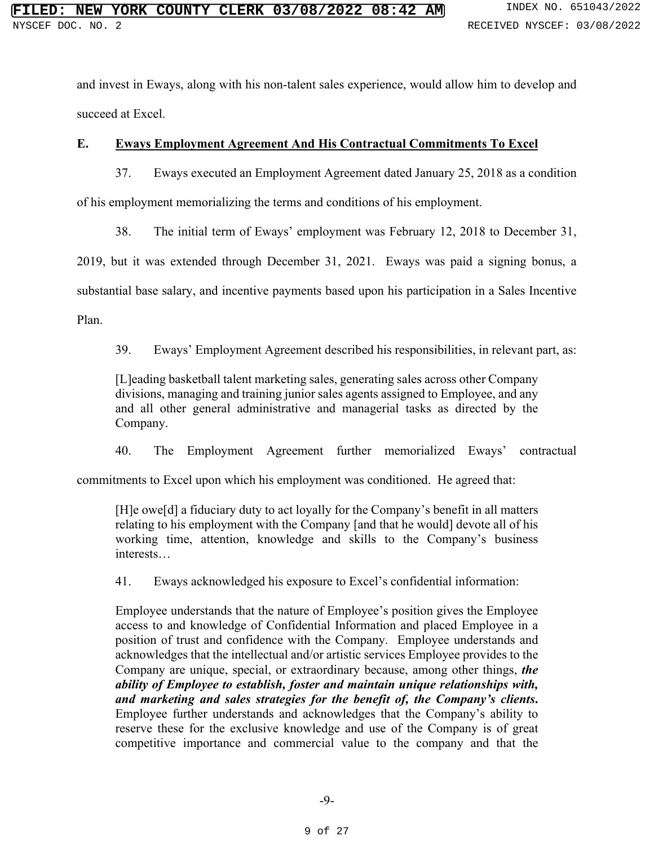and invest in Eways, along with his non-talent sales experience, would allow him to develop and succeed at Excel.

# **E. Eways Employment Agreement And His Contractual Commitments To Excel**

37. Eways executed an Employment Agreement dated January 25, 2018 as a condition of his employment memorializing the terms and conditions of his employment.

38. The initial term of Eways' employment was February 12, 2018 to December 31,

2019, but it was extended through December 31, 2021. Eways was paid a signing bonus, a

substantial base salary, and incentive payments based upon his participation in a Sales Incentive

Plan.

39. Eways' Employment Agreement described his responsibilities, in relevant part, as:

[L]eading basketball talent marketing sales, generating sales across other Company divisions, managing and training junior sales agents assigned to Employee, and any and all other general administrative and managerial tasks as directed by the Company.

40. The Employment Agreement further memorialized Eways' contractual

commitments to Excel upon which his employment was conditioned. He agreed that:

[H]e owe[d] a fiduciary duty to act loyally for the Company's benefit in all matters relating to his employment with the Company [and that he would] devote all of his working time, attention, knowledge and skills to the Company's business interests…

41. Eways acknowledged his exposure to Excel's confidential information:

Employee understands that the nature of Employee's position gives the Employee access to and knowledge of Confidential Information and placed Employee in a position of trust and confidence with the Company. Employee understands and acknowledges that the intellectual and/or artistic services Employee provides to the Company are unique, special, or extraordinary because, among other things, *the ability of Employee to establish, foster and maintain unique relationships with, and marketing and sales strategies for the benefit of, the Company's clients***.** Employee further understands and acknowledges that the Company's ability to reserve these for the exclusive knowledge and use of the Company is of great competitive importance and commercial value to the company and that the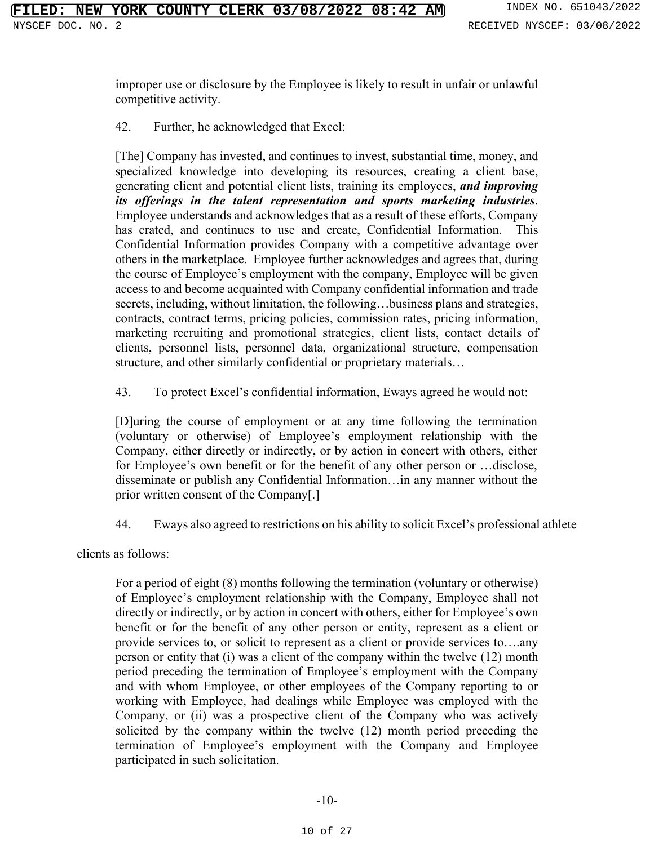improper use or disclosure by the Employee is likely to result in unfair or unlawful competitive activity.

42. Further, he acknowledged that Excel:

[The] Company has invested, and continues to invest, substantial time, money, and specialized knowledge into developing its resources, creating a client base, generating client and potential client lists, training its employees, *and improving its offerings in the talent representation and sports marketing industries*. Employee understands and acknowledges that as a result of these efforts, Company has crated, and continues to use and create, Confidential Information. This Confidential Information provides Company with a competitive advantage over others in the marketplace. Employee further acknowledges and agrees that, during the course of Employee's employment with the company, Employee will be given access to and become acquainted with Company confidential information and trade secrets, including, without limitation, the following...business plans and strategies, contracts, contract terms, pricing policies, commission rates, pricing information, marketing recruiting and promotional strategies, client lists, contact details of clients, personnel lists, personnel data, organizational structure, compensation structure, and other similarly confidential or proprietary materials…

43. To protect Excel's confidential information, Eways agreed he would not:

[D]uring the course of employment or at any time following the termination (voluntary or otherwise) of Employee's employment relationship with the Company, either directly or indirectly, or by action in concert with others, either for Employee's own benefit or for the benefit of any other person or …disclose, disseminate or publish any Confidential Information…in any manner without the prior written consent of the Company[.]

44. Eways also agreed to restrictions on his ability to solicit Excel's professional athlete

clients as follows:

For a period of eight (8) months following the termination (voluntary or otherwise) of Employee's employment relationship with the Company, Employee shall not directly or indirectly, or by action in concert with others, either for Employee's own benefit or for the benefit of any other person or entity, represent as a client or provide services to, or solicit to represent as a client or provide services to….any person or entity that (i) was a client of the company within the twelve (12) month period preceding the termination of Employee's employment with the Company and with whom Employee, or other employees of the Company reporting to or working with Employee, had dealings while Employee was employed with the Company, or (ii) was a prospective client of the Company who was actively solicited by the company within the twelve (12) month period preceding the termination of Employee's employment with the Company and Employee participated in such solicitation.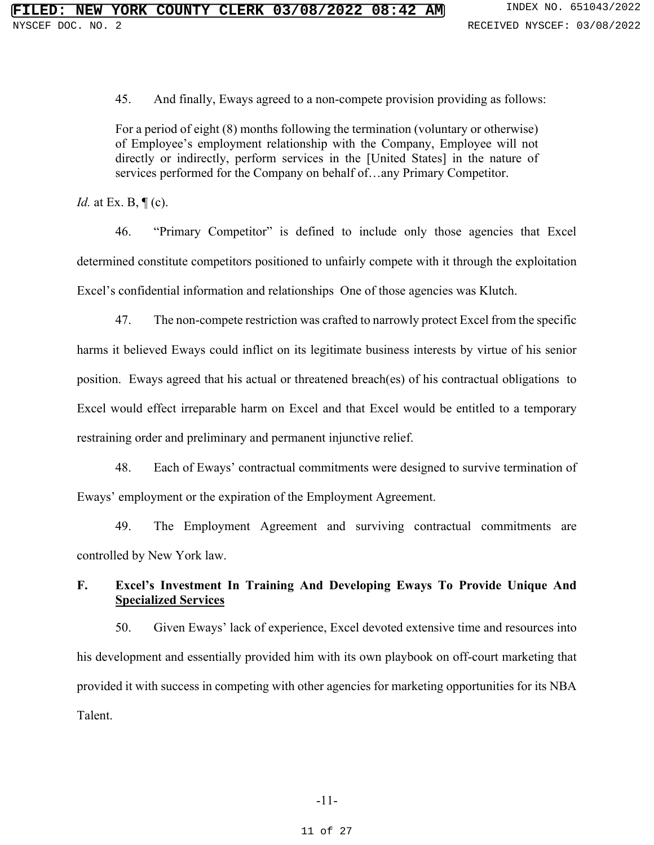45. And finally, Eways agreed to a non-compete provision providing as follows:

For a period of eight (8) months following the termination (voluntary or otherwise) of Employee's employment relationship with the Company, Employee will not directly or indirectly, perform services in the [United States] in the nature of services performed for the Company on behalf of…any Primary Competitor.

*Id.* at Ex. B,  $\P$  (c).

46. "Primary Competitor" is defined to include only those agencies that Excel determined constitute competitors positioned to unfairly compete with it through the exploitation Excel's confidential information and relationships One of those agencies was Klutch.

47. The non-compete restriction was crafted to narrowly protect Excel from the specific harms it believed Eways could inflict on its legitimate business interests by virtue of his senior position. Eways agreed that his actual or threatened breach(es) of his contractual obligations to Excel would effect irreparable harm on Excel and that Excel would be entitled to a temporary restraining order and preliminary and permanent injunctive relief.

48. Each of Eways' contractual commitments were designed to survive termination of Eways' employment or the expiration of the Employment Agreement.

49. The Employment Agreement and surviving contractual commitments are controlled by New York law.

# **F. Excel's Investment In Training And Developing Eways To Provide Unique And Specialized Services**

50. Given Eways' lack of experience, Excel devoted extensive time and resources into his development and essentially provided him with its own playbook on off-court marketing that provided it with success in competing with other agencies for marketing opportunities for its NBA Talent.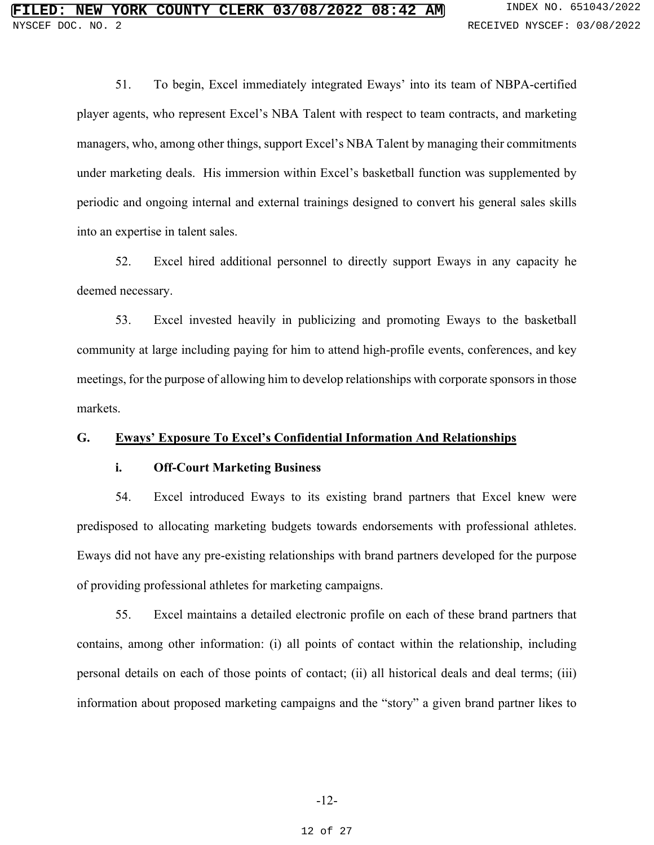51. To begin, Excel immediately integrated Eways' into its team of NBPA-certified player agents, who represent Excel's NBA Talent with respect to team contracts, and marketing managers, who, among other things, support Excel's NBA Talent by managing their commitments under marketing deals. His immersion within Excel's basketball function was supplemented by periodic and ongoing internal and external trainings designed to convert his general sales skills into an expertise in talent sales.

52. Excel hired additional personnel to directly support Eways in any capacity he deemed necessary.

53. Excel invested heavily in publicizing and promoting Eways to the basketball community at large including paying for him to attend high-profile events, conferences, and key meetings, for the purpose of allowing him to develop relationships with corporate sponsors in those markets.

### **G. Eways' Exposure To Excel's Confidential Information And Relationships**

#### **i. Off-Court Marketing Business**

54. Excel introduced Eways to its existing brand partners that Excel knew were predisposed to allocating marketing budgets towards endorsements with professional athletes. Eways did not have any pre-existing relationships with brand partners developed for the purpose of providing professional athletes for marketing campaigns.

55. Excel maintains a detailed electronic profile on each of these brand partners that contains, among other information: (i) all points of contact within the relationship, including personal details on each of those points of contact; (ii) all historical deals and deal terms; (iii) information about proposed marketing campaigns and the "story" a given brand partner likes to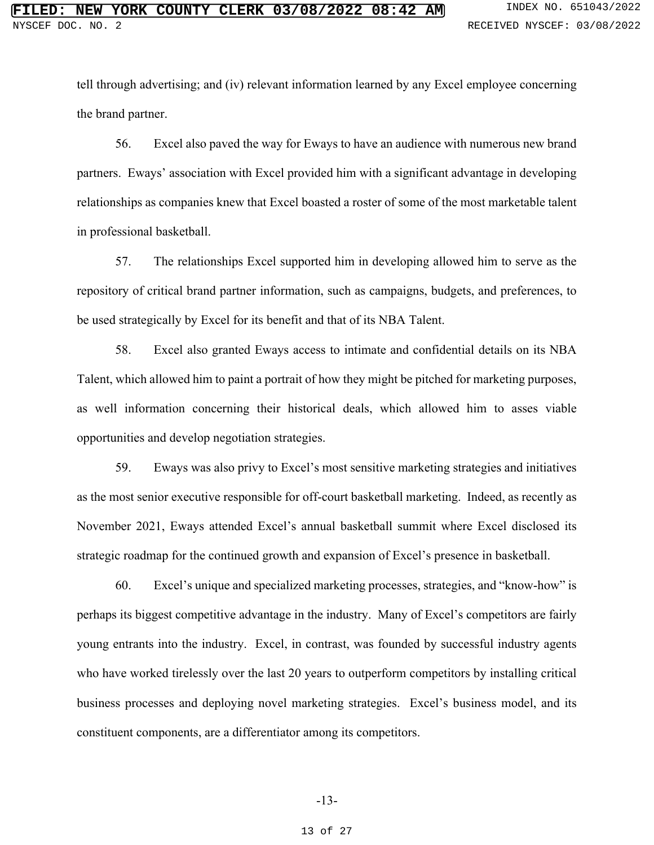tell through advertising; and (iv) relevant information learned by any Excel employee concerning the brand partner.

56. Excel also paved the way for Eways to have an audience with numerous new brand partners. Eways' association with Excel provided him with a significant advantage in developing relationships as companies knew that Excel boasted a roster of some of the most marketable talent in professional basketball.

57. The relationships Excel supported him in developing allowed him to serve as the repository of critical brand partner information, such as campaigns, budgets, and preferences, to be used strategically by Excel for its benefit and that of its NBA Talent.

58. Excel also granted Eways access to intimate and confidential details on its NBA Talent, which allowed him to paint a portrait of how they might be pitched for marketing purposes, as well information concerning their historical deals, which allowed him to asses viable opportunities and develop negotiation strategies.

59. Eways was also privy to Excel's most sensitive marketing strategies and initiatives as the most senior executive responsible for off-court basketball marketing. Indeed, as recently as November 2021, Eways attended Excel's annual basketball summit where Excel disclosed its strategic roadmap for the continued growth and expansion of Excel's presence in basketball.

60. Excel's unique and specialized marketing processes, strategies, and "know-how" is perhaps its biggest competitive advantage in the industry. Many of Excel's competitors are fairly young entrants into the industry. Excel, in contrast, was founded by successful industry agents who have worked tirelessly over the last 20 years to outperform competitors by installing critical business processes and deploying novel marketing strategies. Excel's business model, and its constituent components, are a differentiator among its competitors.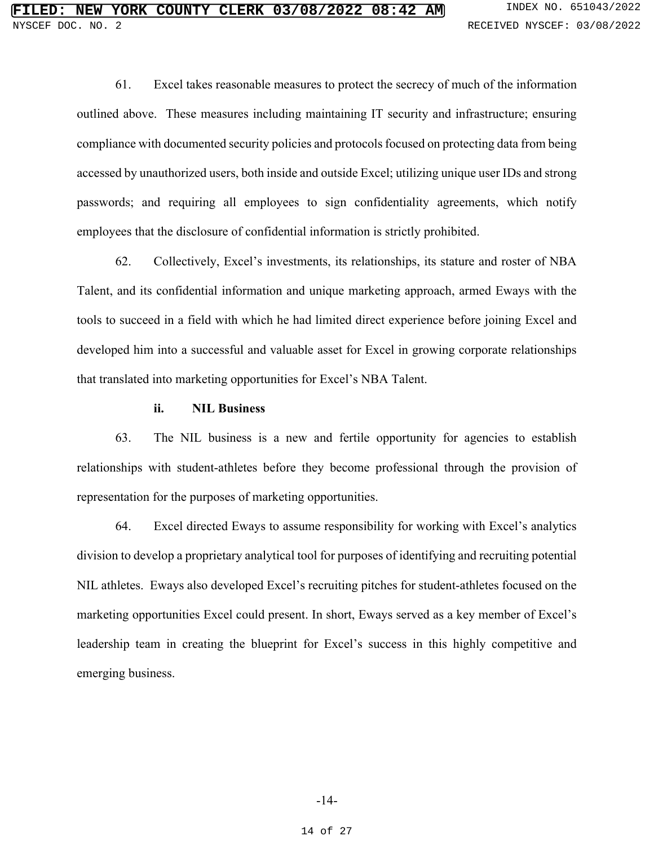61. Excel takes reasonable measures to protect the secrecy of much of the information outlined above. These measures including maintaining IT security and infrastructure; ensuring compliance with documented security policies and protocols focused on protecting data from being accessed by unauthorized users, both inside and outside Excel; utilizing unique user IDs and strong passwords; and requiring all employees to sign confidentiality agreements, which notify employees that the disclosure of confidential information is strictly prohibited.

62. Collectively, Excel's investments, its relationships, its stature and roster of NBA Talent, and its confidential information and unique marketing approach, armed Eways with the tools to succeed in a field with which he had limited direct experience before joining Excel and developed him into a successful and valuable asset for Excel in growing corporate relationships that translated into marketing opportunities for Excel's NBA Talent.

### **ii. NIL Business**

63. The NIL business is a new and fertile opportunity for agencies to establish relationships with student-athletes before they become professional through the provision of representation for the purposes of marketing opportunities.

64. Excel directed Eways to assume responsibility for working with Excel's analytics division to develop a proprietary analytical tool for purposes of identifying and recruiting potential NIL athletes. Eways also developed Excel's recruiting pitches for student-athletes focused on the marketing opportunities Excel could present. In short, Eways served as a key member of Excel's leadership team in creating the blueprint for Excel's success in this highly competitive and emerging business.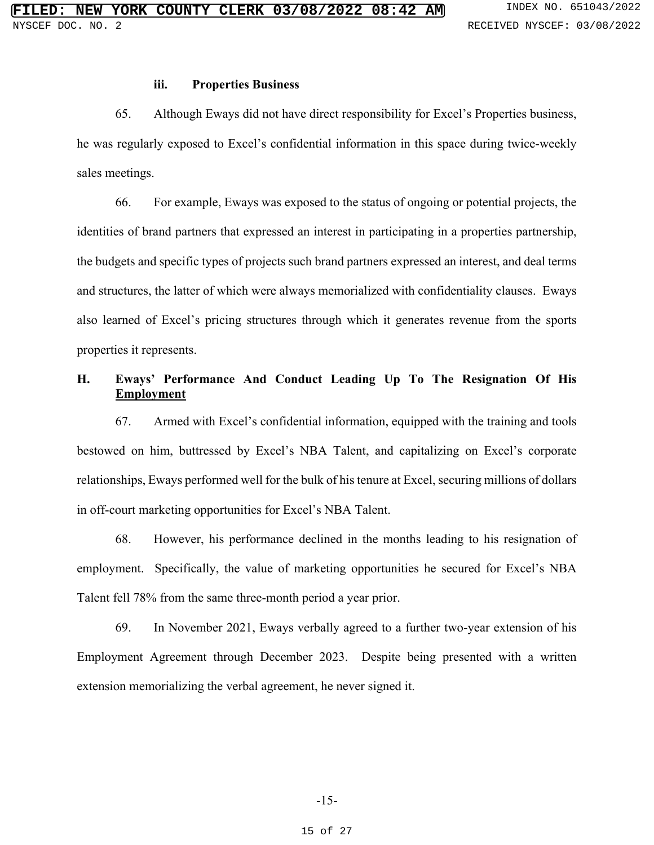#### **iii. Properties Business**

65. Although Eways did not have direct responsibility for Excel's Properties business, he was regularly exposed to Excel's confidential information in this space during twice-weekly sales meetings.

66. For example, Eways was exposed to the status of ongoing or potential projects, the identities of brand partners that expressed an interest in participating in a properties partnership, the budgets and specific types of projects such brand partners expressed an interest, and deal terms and structures, the latter of which were always memorialized with confidentiality clauses. Eways also learned of Excel's pricing structures through which it generates revenue from the sports properties it represents.

# **H. Eways' Performance And Conduct Leading Up To The Resignation Of His Employment**

67. Armed with Excel's confidential information, equipped with the training and tools bestowed on him, buttressed by Excel's NBA Talent, and capitalizing on Excel's corporate relationships, Eways performed well for the bulk of his tenure at Excel, securing millions of dollars in off-court marketing opportunities for Excel's NBA Talent.

68. However, his performance declined in the months leading to his resignation of employment. Specifically, the value of marketing opportunities he secured for Excel's NBA Talent fell 78% from the same three-month period a year prior.

69. In November 2021, Eways verbally agreed to a further two-year extension of his Employment Agreement through December 2023. Despite being presented with a written extension memorializing the verbal agreement, he never signed it.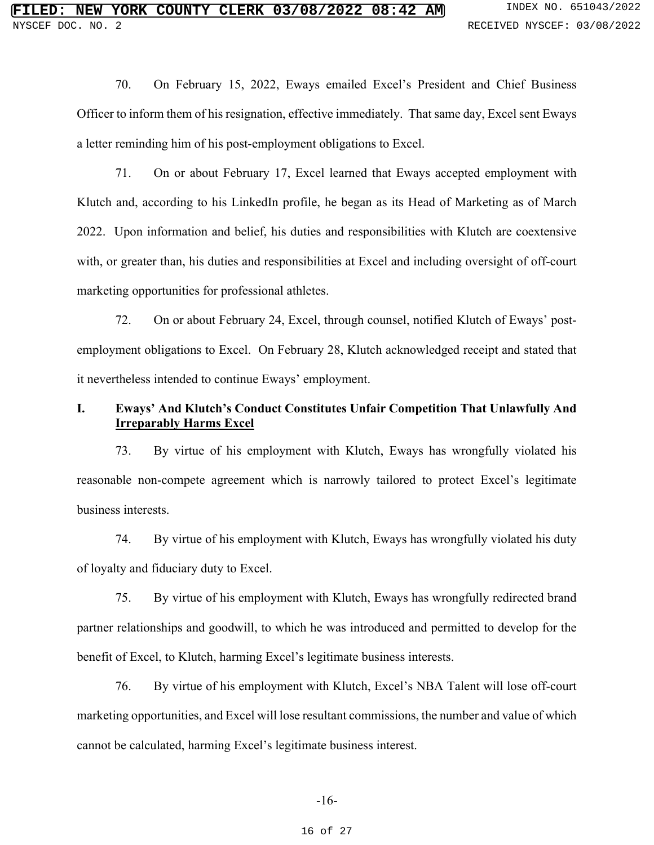70. On February 15, 2022, Eways emailed Excel's President and Chief Business Officer to inform them of his resignation, effective immediately. That same day, Excel sent Eways a letter reminding him of his post-employment obligations to Excel.

71. On or about February 17, Excel learned that Eways accepted employment with Klutch and, according to his LinkedIn profile, he began as its Head of Marketing as of March 2022. Upon information and belief, his duties and responsibilities with Klutch are coextensive with, or greater than, his duties and responsibilities at Excel and including oversight of off-court marketing opportunities for professional athletes.

72. On or about February 24, Excel, through counsel, notified Klutch of Eways' postemployment obligations to Excel. On February 28, Klutch acknowledged receipt and stated that it nevertheless intended to continue Eways' employment.

# **I. Eways' And Klutch's Conduct Constitutes Unfair Competition That Unlawfully And Irreparably Harms Excel**

73. By virtue of his employment with Klutch, Eways has wrongfully violated his reasonable non-compete agreement which is narrowly tailored to protect Excel's legitimate business interests.

74. By virtue of his employment with Klutch, Eways has wrongfully violated his duty of loyalty and fiduciary duty to Excel.

75. By virtue of his employment with Klutch, Eways has wrongfully redirected brand partner relationships and goodwill, to which he was introduced and permitted to develop for the benefit of Excel, to Klutch, harming Excel's legitimate business interests.

76. By virtue of his employment with Klutch, Excel's NBA Talent will lose off-court marketing opportunities, and Excel will lose resultant commissions, the number and value of which cannot be calculated, harming Excel's legitimate business interest.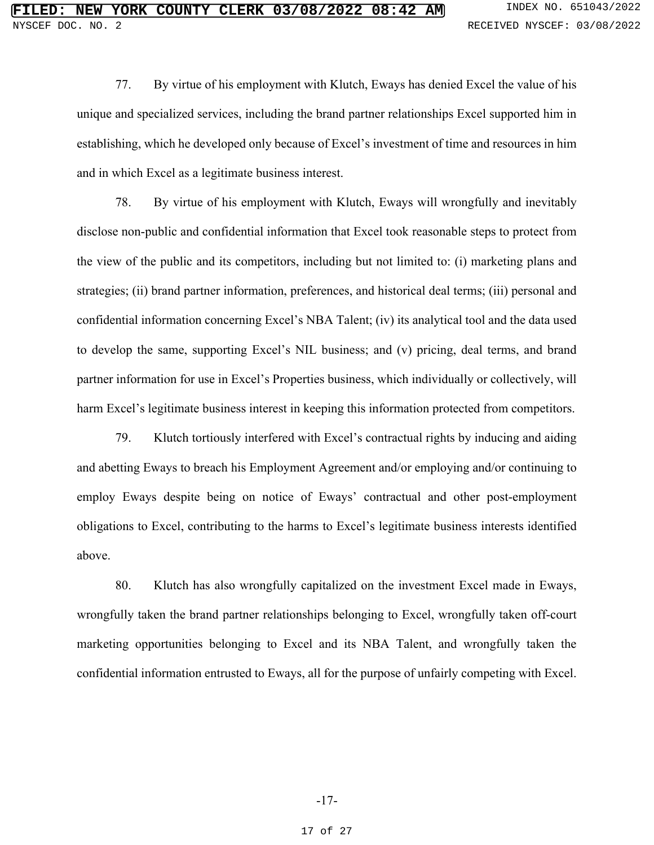77. By virtue of his employment with Klutch, Eways has denied Excel the value of his unique and specialized services, including the brand partner relationships Excel supported him in establishing, which he developed only because of Excel's investment of time and resources in him and in which Excel as a legitimate business interest.

78. By virtue of his employment with Klutch, Eways will wrongfully and inevitably disclose non-public and confidential information that Excel took reasonable steps to protect from the view of the public and its competitors, including but not limited to: (i) marketing plans and strategies; (ii) brand partner information, preferences, and historical deal terms; (iii) personal and confidential information concerning Excel's NBA Talent; (iv) its analytical tool and the data used to develop the same, supporting Excel's NIL business; and (v) pricing, deal terms, and brand partner information for use in Excel's Properties business, which individually or collectively, will harm Excel's legitimate business interest in keeping this information protected from competitors.

79. Klutch tortiously interfered with Excel's contractual rights by inducing and aiding and abetting Eways to breach his Employment Agreement and/or employing and/or continuing to employ Eways despite being on notice of Eways' contractual and other post-employment obligations to Excel, contributing to the harms to Excel's legitimate business interests identified above.

80. Klutch has also wrongfully capitalized on the investment Excel made in Eways, wrongfully taken the brand partner relationships belonging to Excel, wrongfully taken off-court marketing opportunities belonging to Excel and its NBA Talent, and wrongfully taken the confidential information entrusted to Eways, all for the purpose of unfairly competing with Excel.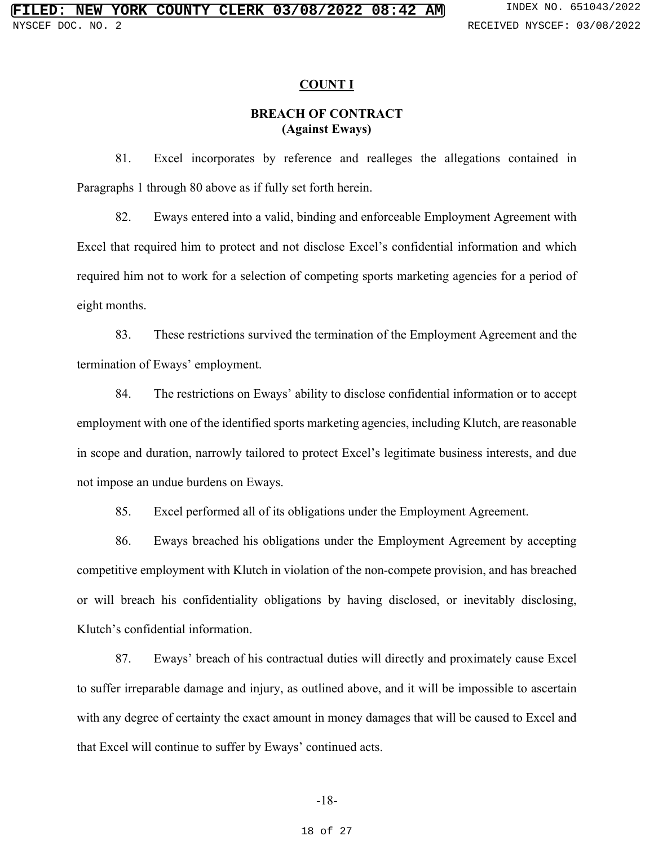#### **COUNT I**

## **BREACH OF CONTRACT (Against Eways)**

81. Excel incorporates by reference and realleges the allegations contained in Paragraphs 1 through 80 above as if fully set forth herein.

82. Eways entered into a valid, binding and enforceable Employment Agreement with Excel that required him to protect and not disclose Excel's confidential information and which required him not to work for a selection of competing sports marketing agencies for a period of eight months.

83. These restrictions survived the termination of the Employment Agreement and the termination of Eways' employment.

84. The restrictions on Eways' ability to disclose confidential information or to accept employment with one of the identified sports marketing agencies, including Klutch, are reasonable in scope and duration, narrowly tailored to protect Excel's legitimate business interests, and due not impose an undue burdens on Eways.

85. Excel performed all of its obligations under the Employment Agreement.

86. Eways breached his obligations under the Employment Agreement by accepting competitive employment with Klutch in violation of the non-compete provision, and has breached or will breach his confidentiality obligations by having disclosed, or inevitably disclosing, Klutch's confidential information.

87. Eways' breach of his contractual duties will directly and proximately cause Excel to suffer irreparable damage and injury, as outlined above, and it will be impossible to ascertain with any degree of certainty the exact amount in money damages that will be caused to Excel and that Excel will continue to suffer by Eways' continued acts.

#### -18-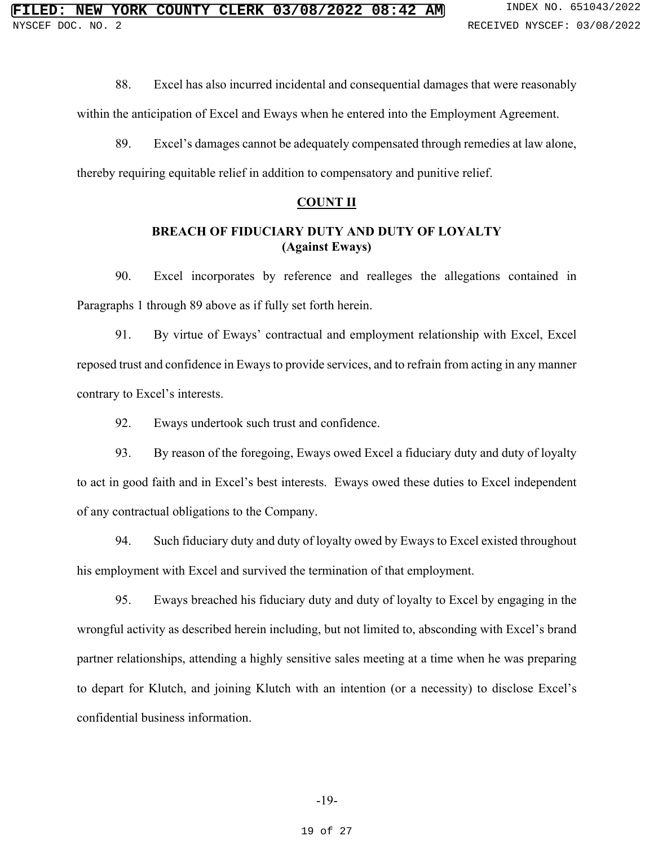88. Excel has also incurred incidental and consequential damages that were reasonably

within the anticipation of Excel and Eways when he entered into the Employment Agreement.

89. Excel's damages cannot be adequately compensated through remedies at law alone,

thereby requiring equitable relief in addition to compensatory and punitive relief.

## **COUNT II**

## **BREACH OF FIDUCIARY DUTY AND DUTY OF LOYALTY (Against Eways)**

90. Excel incorporates by reference and realleges the allegations contained in Paragraphs 1 through 89 above as if fully set forth herein.

91. By virtue of Eways' contractual and employment relationship with Excel, Excel reposed trust and confidence in Eways to provide services, and to refrain from acting in any manner contrary to Excel's interests.

92. Eways undertook such trust and confidence.

93. By reason of the foregoing, Eways owed Excel a fiduciary duty and duty of loyalty to act in good faith and in Excel's best interests. Eways owed these duties to Excel independent of any contractual obligations to the Company.

94. Such fiduciary duty and duty of loyalty owed by Eways to Excel existed throughout his employment with Excel and survived the termination of that employment.

95. Eways breached his fiduciary duty and duty of loyalty to Excel by engaging in the wrongful activity as described herein including, but not limited to, absconding with Excel's brand partner relationships, attending a highly sensitive sales meeting at a time when he was preparing to depart for Klutch, and joining Klutch with an intention (or a necessity) to disclose Excel's confidential business information.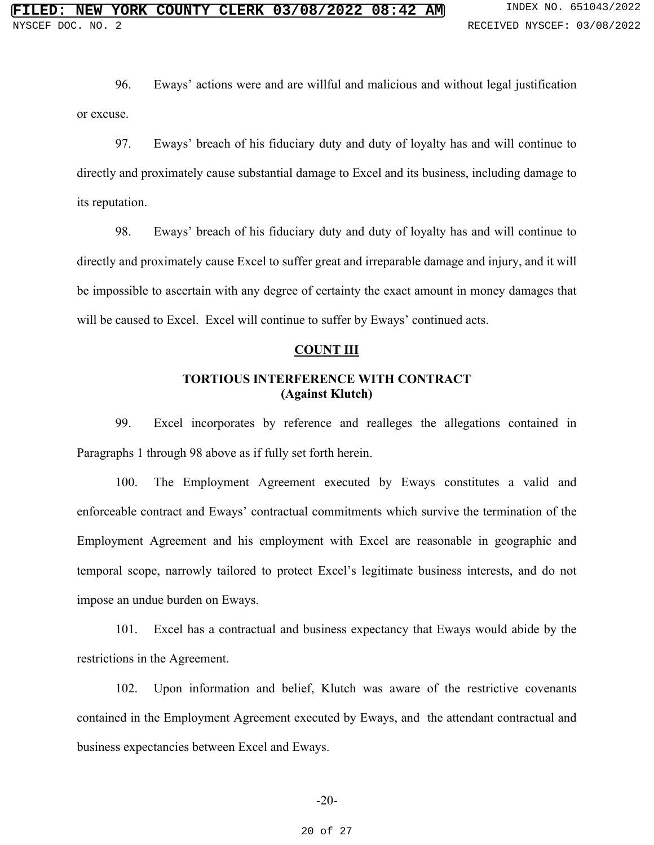96. Eways' actions were and are willful and malicious and without legal justification or excuse.

97. Eways' breach of his fiduciary duty and duty of loyalty has and will continue to directly and proximately cause substantial damage to Excel and its business, including damage to its reputation.

98. Eways' breach of his fiduciary duty and duty of loyalty has and will continue to directly and proximately cause Excel to suffer great and irreparable damage and injury, and it will be impossible to ascertain with any degree of certainty the exact amount in money damages that will be caused to Excel. Excel will continue to suffer by Eways' continued acts.

#### **COUNT III**

## **TORTIOUS INTERFERENCE WITH CONTRACT (Against Klutch)**

99. Excel incorporates by reference and realleges the allegations contained in Paragraphs 1 through 98 above as if fully set forth herein.

100. The Employment Agreement executed by Eways constitutes a valid and enforceable contract and Eways' contractual commitments which survive the termination of the Employment Agreement and his employment with Excel are reasonable in geographic and temporal scope, narrowly tailored to protect Excel's legitimate business interests, and do not impose an undue burden on Eways.

101. Excel has a contractual and business expectancy that Eways would abide by the restrictions in the Agreement.

102. Upon information and belief, Klutch was aware of the restrictive covenants contained in the Employment Agreement executed by Eways, and the attendant contractual and business expectancies between Excel and Eways.

#### -20-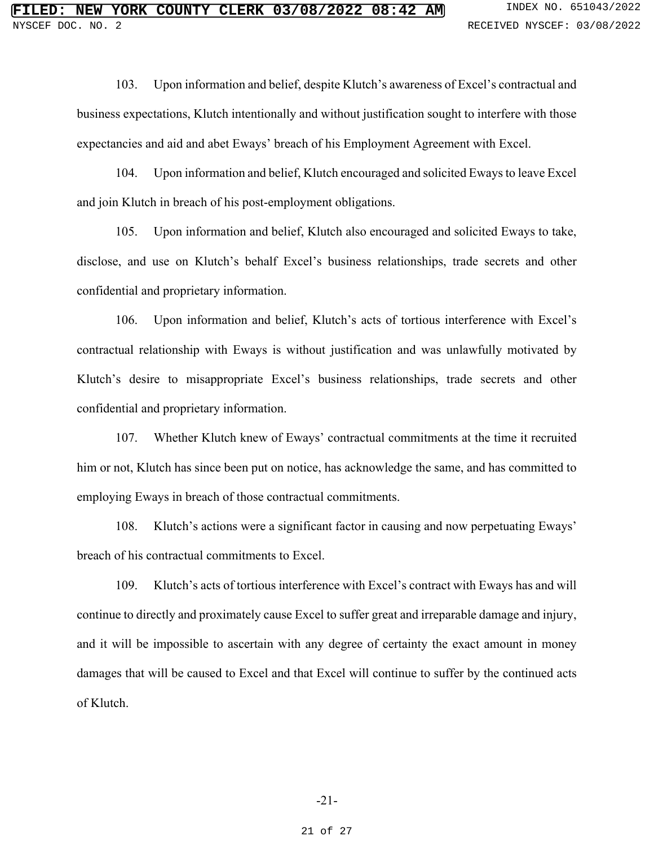103. Upon information and belief, despite Klutch's awareness of Excel's contractual and business expectations, Klutch intentionally and without justification sought to interfere with those expectancies and aid and abet Eways' breach of his Employment Agreement with Excel.

104. Upon information and belief, Klutch encouraged and solicited Eways to leave Excel and join Klutch in breach of his post-employment obligations.

105. Upon information and belief, Klutch also encouraged and solicited Eways to take, disclose, and use on Klutch's behalf Excel's business relationships, trade secrets and other confidential and proprietary information.

106. Upon information and belief, Klutch's acts of tortious interference with Excel's contractual relationship with Eways is without justification and was unlawfully motivated by Klutch's desire to misappropriate Excel's business relationships, trade secrets and other confidential and proprietary information.

107. Whether Klutch knew of Eways' contractual commitments at the time it recruited him or not, Klutch has since been put on notice, has acknowledge the same, and has committed to employing Eways in breach of those contractual commitments.

108. Klutch's actions were a significant factor in causing and now perpetuating Eways' breach of his contractual commitments to Excel.

109. Klutch's acts of tortious interference with Excel's contract with Eways has and will continue to directly and proximately cause Excel to suffer great and irreparable damage and injury, and it will be impossible to ascertain with any degree of certainty the exact amount in money damages that will be caused to Excel and that Excel will continue to suffer by the continued acts of Klutch.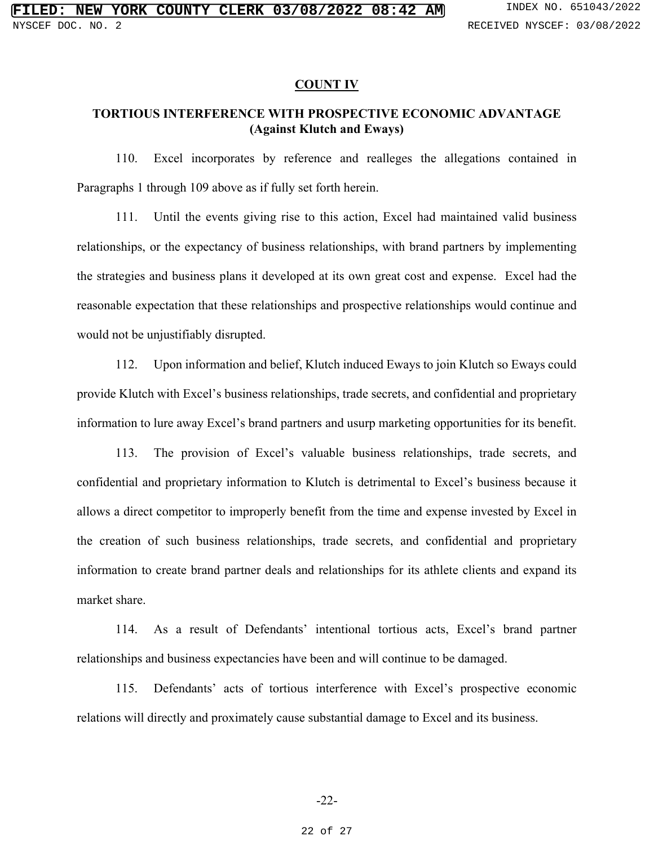#### **COUNT IV**

# **TORTIOUS INTERFERENCE WITH PROSPECTIVE ECONOMIC ADVANTAGE (Against Klutch and Eways)**

110. Excel incorporates by reference and realleges the allegations contained in Paragraphs 1 through 109 above as if fully set forth herein.

111. Until the events giving rise to this action, Excel had maintained valid business relationships, or the expectancy of business relationships, with brand partners by implementing the strategies and business plans it developed at its own great cost and expense. Excel had the reasonable expectation that these relationships and prospective relationships would continue and would not be unjustifiably disrupted.

112. Upon information and belief, Klutch induced Eways to join Klutch so Eways could provide Klutch with Excel's business relationships, trade secrets, and confidential and proprietary information to lure away Excel's brand partners and usurp marketing opportunities for its benefit.

113. The provision of Excel's valuable business relationships, trade secrets, and confidential and proprietary information to Klutch is detrimental to Excel's business because it allows a direct competitor to improperly benefit from the time and expense invested by Excel in the creation of such business relationships, trade secrets, and confidential and proprietary information to create brand partner deals and relationships for its athlete clients and expand its market share.

114. As a result of Defendants' intentional tortious acts, Excel's brand partner relationships and business expectancies have been and will continue to be damaged.

115. Defendants' acts of tortious interference with Excel's prospective economic relations will directly and proximately cause substantial damage to Excel and its business.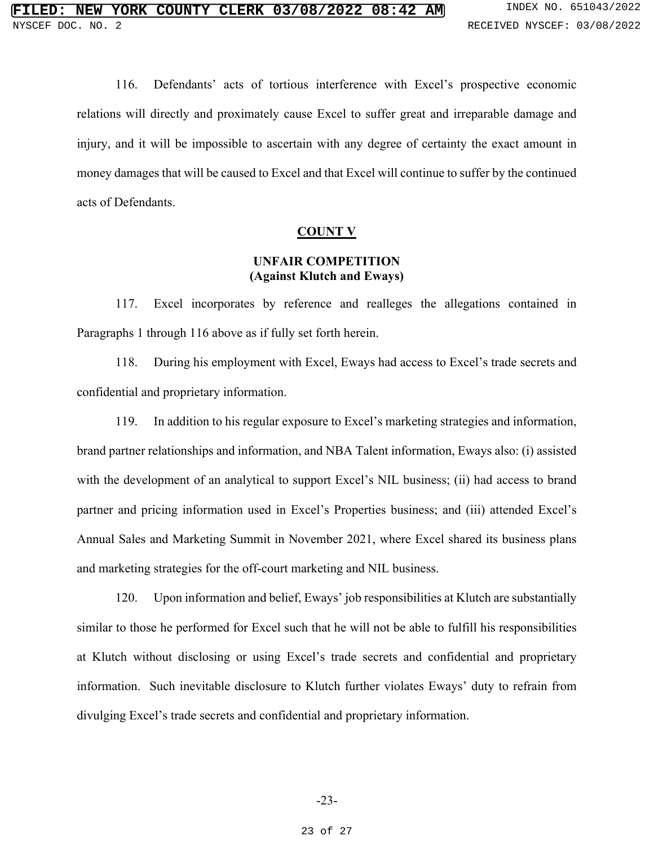116. Defendants' acts of tortious interference with Excel's prospective economic relations will directly and proximately cause Excel to suffer great and irreparable damage and injury, and it will be impossible to ascertain with any degree of certainty the exact amount in money damages that will be caused to Excel and that Excel will continue to suffer by the continued acts of Defendants.

### **COUNT V**

### **UNFAIR COMPETITION (Against Klutch and Eways)**

117. Excel incorporates by reference and realleges the allegations contained in Paragraphs 1 through 116 above as if fully set forth herein.

118. During his employment with Excel, Eways had access to Excel's trade secrets and confidential and proprietary information.

119. In addition to his regular exposure to Excel's marketing strategies and information, brand partner relationships and information, and NBA Talent information, Eways also: (i) assisted with the development of an analytical to support Excel's NIL business; (ii) had access to brand partner and pricing information used in Excel's Properties business; and (iii) attended Excel's Annual Sales and Marketing Summit in November 2021, where Excel shared its business plans and marketing strategies for the off-court marketing and NIL business.

120. Upon information and belief, Eways' job responsibilities at Klutch are substantially similar to those he performed for Excel such that he will not be able to fulfill his responsibilities at Klutch without disclosing or using Excel's trade secrets and confidential and proprietary information. Such inevitable disclosure to Klutch further violates Eways' duty to refrain from divulging Excel's trade secrets and confidential and proprietary information.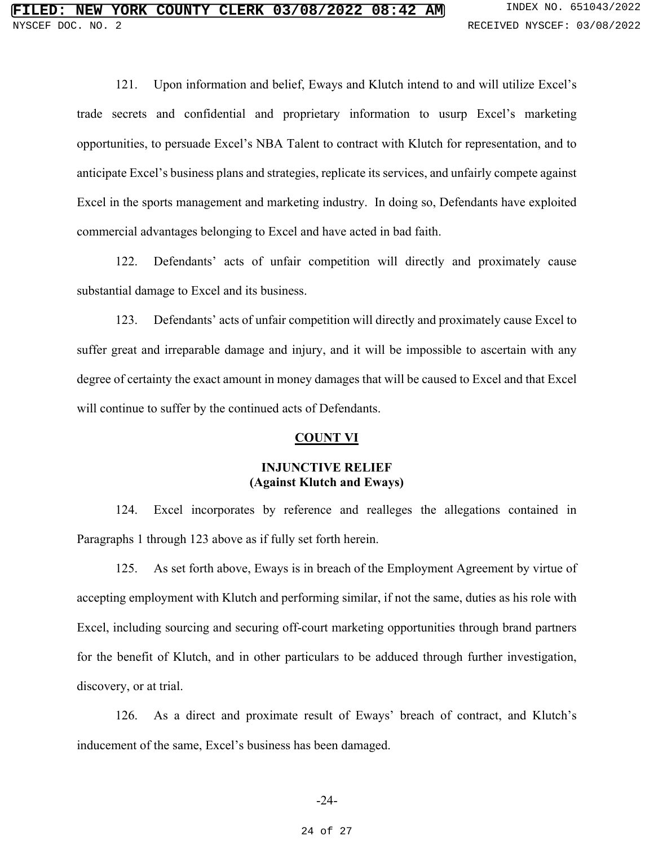121. Upon information and belief, Eways and Klutch intend to and will utilize Excel's trade secrets and confidential and proprietary information to usurp Excel's marketing opportunities, to persuade Excel's NBA Talent to contract with Klutch for representation, and to anticipate Excel's business plans and strategies, replicate its services, and unfairly compete against Excel in the sports management and marketing industry. In doing so, Defendants have exploited commercial advantages belonging to Excel and have acted in bad faith.

122. Defendants' acts of unfair competition will directly and proximately cause substantial damage to Excel and its business.

123. Defendants' acts of unfair competition will directly and proximately cause Excel to suffer great and irreparable damage and injury, and it will be impossible to ascertain with any degree of certainty the exact amount in money damages that will be caused to Excel and that Excel will continue to suffer by the continued acts of Defendants.

### **COUNT VI**

## **INJUNCTIVE RELIEF (Against Klutch and Eways)**

124. Excel incorporates by reference and realleges the allegations contained in Paragraphs 1 through 123 above as if fully set forth herein.

125. As set forth above, Eways is in breach of the Employment Agreement by virtue of accepting employment with Klutch and performing similar, if not the same, duties as his role with Excel, including sourcing and securing off-court marketing opportunities through brand partners for the benefit of Klutch, and in other particulars to be adduced through further investigation, discovery, or at trial.

126. As a direct and proximate result of Eways' breach of contract, and Klutch's inducement of the same, Excel's business has been damaged.

#### -24-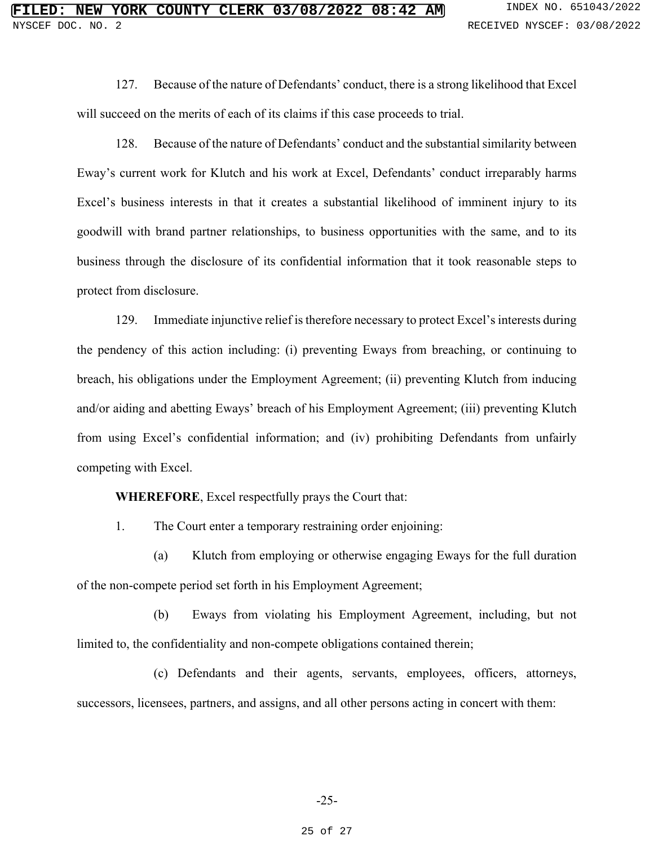127. Because of the nature of Defendants' conduct, there is a strong likelihood that Excel will succeed on the merits of each of its claims if this case proceeds to trial.

128. Because of the nature of Defendants' conduct and the substantial similarity between Eway's current work for Klutch and his work at Excel, Defendants' conduct irreparably harms Excel's business interests in that it creates a substantial likelihood of imminent injury to its goodwill with brand partner relationships, to business opportunities with the same, and to its business through the disclosure of its confidential information that it took reasonable steps to protect from disclosure.

129. Immediate injunctive relief is therefore necessary to protect Excel's interests during the pendency of this action including: (i) preventing Eways from breaching, or continuing to breach, his obligations under the Employment Agreement; (ii) preventing Klutch from inducing and/or aiding and abetting Eways' breach of his Employment Agreement; (iii) preventing Klutch from using Excel's confidential information; and (iv) prohibiting Defendants from unfairly competing with Excel.

**WHEREFORE**, Excel respectfully prays the Court that:

1. The Court enter a temporary restraining order enjoining:

 (a) Klutch from employing or otherwise engaging Eways for the full duration of the non-compete period set forth in his Employment Agreement;

 (b) Eways from violating his Employment Agreement, including, but not limited to, the confidentiality and non-compete obligations contained therein;

 (c) Defendants and their agents, servants, employees, officers, attorneys, successors, licensees, partners, and assigns, and all other persons acting in concert with them:

#### 25 of 27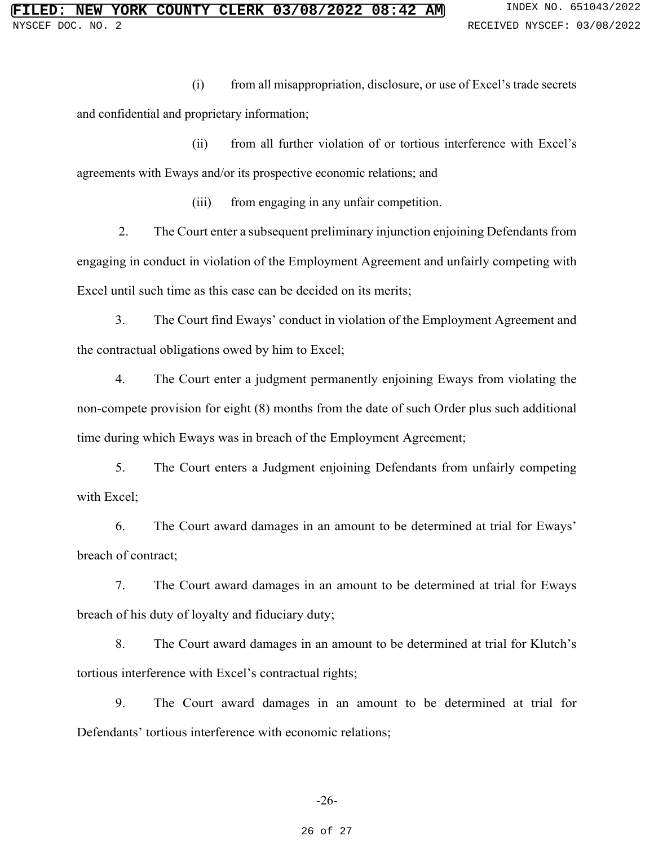(i) from all misappropriation, disclosure, or use of Excel's trade secrets and confidential and proprietary information;

 (ii) from all further violation of or tortious interference with Excel's agreements with Eways and/or its prospective economic relations; and

(iii) from engaging in any unfair competition.

 2. The Court enter a subsequent preliminary injunction enjoining Defendants from engaging in conduct in violation of the Employment Agreement and unfairly competing with Excel until such time as this case can be decided on its merits;

3. The Court find Eways' conduct in violation of the Employment Agreement and the contractual obligations owed by him to Excel;

4. The Court enter a judgment permanently enjoining Eways from violating the non-compete provision for eight (8) months from the date of such Order plus such additional time during which Eways was in breach of the Employment Agreement;

5. The Court enters a Judgment enjoining Defendants from unfairly competing with Excel;

6. The Court award damages in an amount to be determined at trial for Eways' breach of contract;

7. The Court award damages in an amount to be determined at trial for Eways breach of his duty of loyalty and fiduciary duty;

8. The Court award damages in an amount to be determined at trial for Klutch's tortious interference with Excel's contractual rights;

9. The Court award damages in an amount to be determined at trial for Defendants' tortious interference with economic relations;

#### 26 of 27